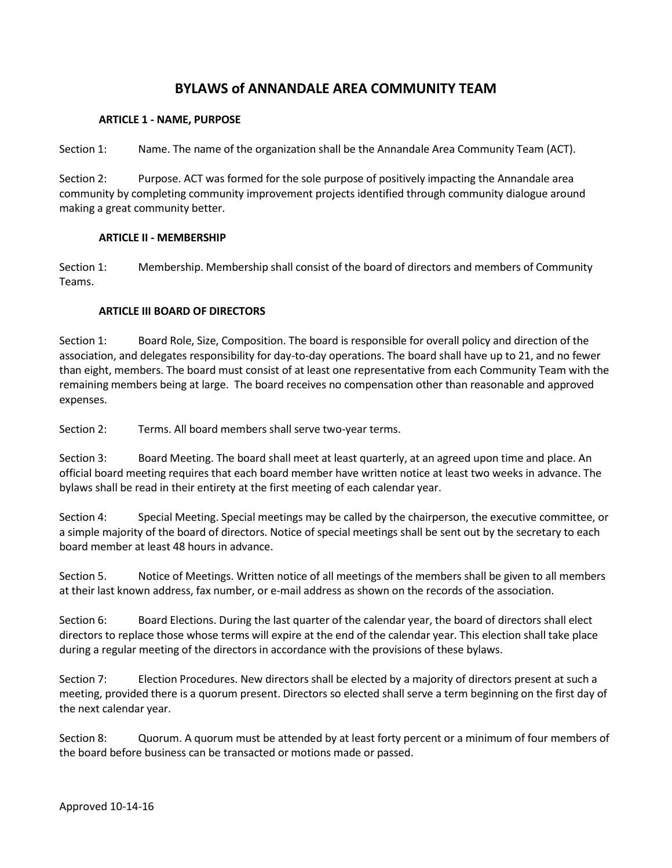# **BYLAWS of ANNANDALE AREA COMMUNITY TEAM**

### **ARTICLE 1 - NAME, PURPOSE**

Section 1: Name. The name of the organization shall be the Annandale Area Community Team (ACT).

Section 2: Purpose. ACT was formed for the sole purpose of positively impacting the Annandale area community by completing community improvement projects identified through community dialogue around making a great community better.

### **ARTICLE II - MEMBERSHIP**

Section 1: Membership. Membership shall consist of the board of directors and members of Community Teams.

### **ARTICLE III BOARD OF DIRECTORS**

Section 1: Board Role, Size, Composition. The board is responsible for overall policy and direction of the association, and delegates responsibility for day-to-day operations. The board shall have up to 21, and no fewer than eight, members. The board must consist of at least one representative from each Community Team with the remaining members being at large. The board receives no compensation other than reasonable and approved expenses.

Section 2: Terms. All board members shall serve two-year terms.

Section 3: Board Meeting. The board shall meet at least quarterly, at an agreed upon time and place. An official board meeting requires that each board member have written notice at least two weeks in advance. The bylaws shall be read in their entirety at the first meeting of each calendar year.

Section 4: Special Meeting. Special meetings may be called by the chairperson, the executive committee, or a simple majority of the board of directors. Notice of special meetings shall be sent out by the secretary to each board member at least 48 hours in advance.

Section 5. Notice of Meetings. Written notice of all meetings of the members shall be given to all members at their last known address, fax number, or e-mail address as shown on the records of the association.

Section 6: Board Elections. During the last quarter of the calendar year, the board of directors shall elect directors to replace those whose terms will expire at the end of the calendar year. This election shall take place during a regular meeting of the directors in accordance with the provisions of these bylaws.

Section 7: Election Procedures. New directors shall be elected by a majority of directors present at such a meeting, provided there is a quorum present. Directors so elected shall serve a term beginning on the first day of the next calendar year.

Section 8: Quorum. A quorum must be attended by at least forty percent or a minimum of four members of the board before business can be transacted or motions made or passed.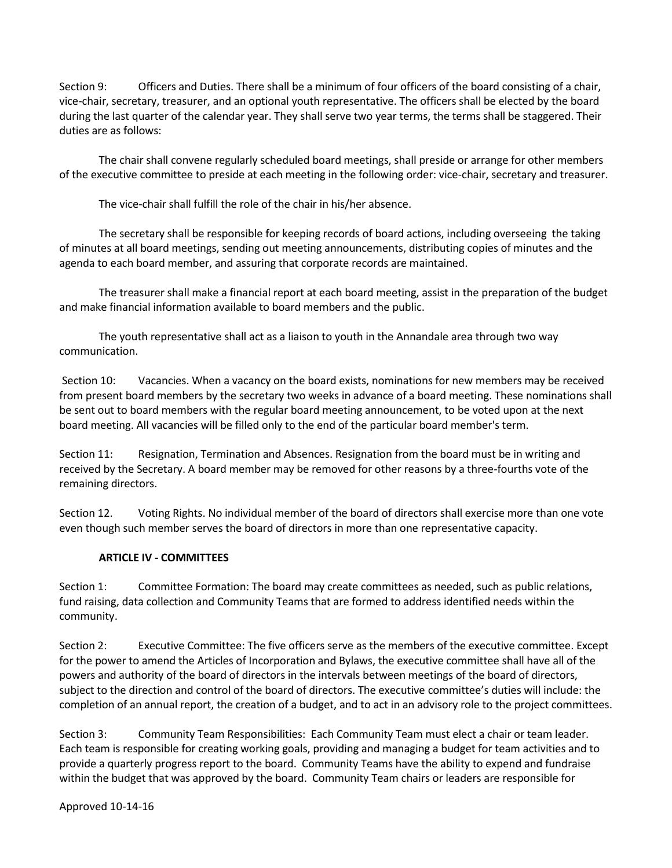Section 9: Officers and Duties. There shall be a minimum of four officers of the board consisting of a chair, vice-chair, secretary, treasurer, and an optional youth representative. The officers shall be elected by the board during the last quarter of the calendar year. They shall serve two year terms, the terms shall be staggered. Their duties are as follows:

The chair shall convene regularly scheduled board meetings, shall preside or arrange for other members of the executive committee to preside at each meeting in the following order: vice-chair, secretary and treasurer.

The vice-chair shall fulfill the role of the chair in his/her absence.

The secretary shall be responsible for keeping records of board actions, including overseeing the taking of minutes at all board meetings, sending out meeting announcements, distributing copies of minutes and the agenda to each board member, and assuring that corporate records are maintained.

The treasurer shall make a financial report at each board meeting, assist in the preparation of the budget and make financial information available to board members and the public.

The youth representative shall act as a liaison to youth in the Annandale area through two way communication.

Section 10: Vacancies. When a vacancy on the board exists, nominations for new members may be received from present board members by the secretary two weeks in advance of a board meeting. These nominations shall be sent out to board members with the regular board meeting announcement, to be voted upon at the next board meeting. All vacancies will be filled only to the end of the particular board member's term.

Section 11: Resignation, Termination and Absences. Resignation from the board must be in writing and received by the Secretary. A board member may be removed for other reasons by a three-fourths vote of the remaining directors.

Section 12. Voting Rights. No individual member of the board of directors shall exercise more than one vote even though such member serves the board of directors in more than one representative capacity.

## **ARTICLE IV - COMMITTEES**

Section 1: Committee Formation: The board may create committees as needed, such as public relations, fund raising, data collection and Community Teams that are formed to address identified needs within the community.

Section 2: Executive Committee: The five officers serve as the members of the executive committee. Except for the power to amend the Articles of Incorporation and Bylaws, the executive committee shall have all of the powers and authority of the board of directors in the intervals between meetings of the board of directors, subject to the direction and control of the board of directors. The executive committee's duties will include: the completion of an annual report, the creation of a budget, and to act in an advisory role to the project committees.

Section 3: Community Team Responsibilities: Each Community Team must elect a chair or team leader. Each team is responsible for creating working goals, providing and managing a budget for team activities and to provide a quarterly progress report to the board. Community Teams have the ability to expend and fundraise within the budget that was approved by the board. Community Team chairs or leaders are responsible for

Approved 10-14-16